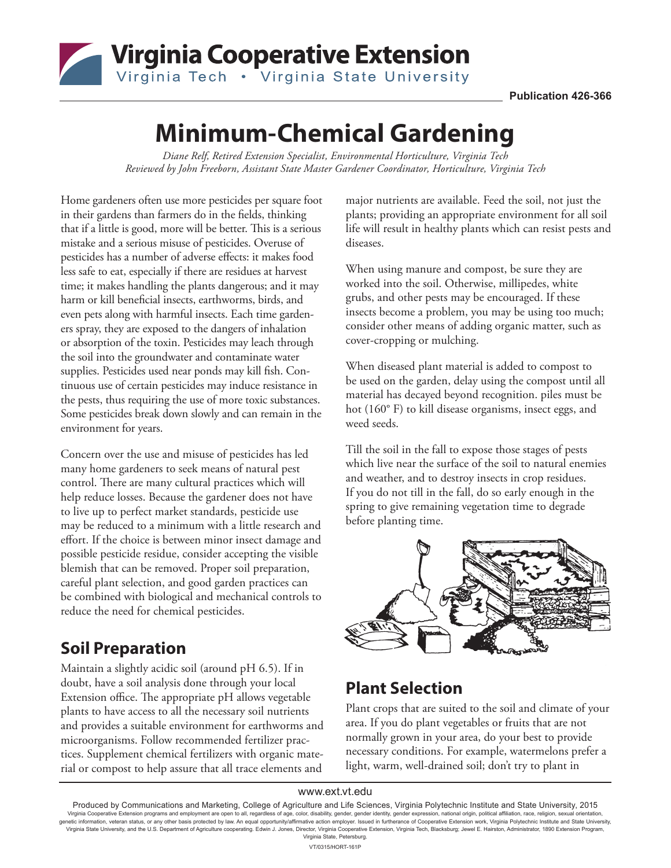

# **Minimum-Chemical Gardening**

*Diane Relf, Retired Extension Specialist, Environmental Horticulture, Virginia Tech Reviewed by John Freeborn, Assistant State Master Gardener Coordinator, Horticulture, Virginia Tech*

Home gardeners often use more pesticides per square foot in their gardens than farmers do in the fields, thinking that if a little is good, more will be better. This is a serious mistake and a serious misuse of pesticides. Overuse of pesticides has a number of adverse effects: it makes food less safe to eat, especially if there are residues at harvest time; it makes handling the plants dangerous; and it may harm or kill beneficial insects, earthworms, birds, and even pets along with harmful insects. Each time gardeners spray, they are exposed to the dangers of inhalation or absorption of the toxin. Pesticides may leach through the soil into the groundwater and contaminate water supplies. Pesticides used near ponds may kill fish. Continuous use of certain pesticides may induce resistance in the pests, thus requiring the use of more toxic substances. Some pesticides break down slowly and can remain in the environment for years.

Concern over the use and misuse of pesticides has led many home gardeners to seek means of natural pest control. There are many cultural practices which will help reduce losses. Because the gardener does not have to live up to perfect market standards, pesticide use may be reduced to a minimum with a little research and effort. If the choice is between minor insect damage and possible pesticide residue, consider accepting the visible blemish that can be removed. Proper soil preparation, careful plant selection, and good garden practices can be combined with biological and mechanical controls to reduce the need for chemical pesticides.

#### **Soil Preparation**

Maintain a slightly acidic soil (around pH 6.5). If in doubt, have a soil analysis done through your local Extension office. The appropriate pH allows vegetable plants to have access to all the necessary soil nutrients and provides a suitable environment for earthworms and microorganisms. Follow recommended fertilizer practices. Supplement chemical fertilizers with organic material or compost to help assure that all trace elements and

major nutrients are available. Feed the soil, not just the plants; providing an appropriate environment for all soil life will result in healthy plants which can resist pests and diseases.

When using manure and compost, be sure they are worked into the soil. Otherwise, millipedes, white grubs, and other pests may be encouraged. If these insects become a problem, you may be using too much; consider other means of adding organic matter, such as cover-cropping or mulching.

When diseased plant material is added to compost to be used on the garden, delay using the compost until all material has decayed beyond recognition. piles must be hot (160° F) to kill disease organisms, insect eggs, and weed seeds.

Till the soil in the fall to expose those stages of pests which live near the surface of the soil to natural enemies and weather, and to destroy insects in crop residues. If you do not till in the fall, do so early enough in the spring to give remaining vegetation time to degrade before planting time.



#### **Plant Selection**

Plant crops that are suited to the soil and climate of your area. If you do plant vegetables or fruits that are not normally grown in your area, do your best to provide necessary conditions. For example, watermelons prefer a light, warm, well-drained soil; don't try to plant in

#### www.ext.vt.edu

Produced by Communications and Marketing, College of Agriculture and Life Sciences, Virginia Polytechnic Institute and State University, 2015 Virginia Cooperative Extension programs and employment are open to all, regardless of age, color, disability, gender, gender identity, gender expression, national origin, political affiliation, race, religion, sexual orien Virginia State University, and the U.S. Department of Agriculture cooperating. Edwin J. Jones, Director, Virginia Cooperative Extension, Virginia Tech, Blacksburg; Jewel E. Hairston, Administrator, 1890 Extension Program, Virginia State, Petersburg. VT/0315/HORT-161P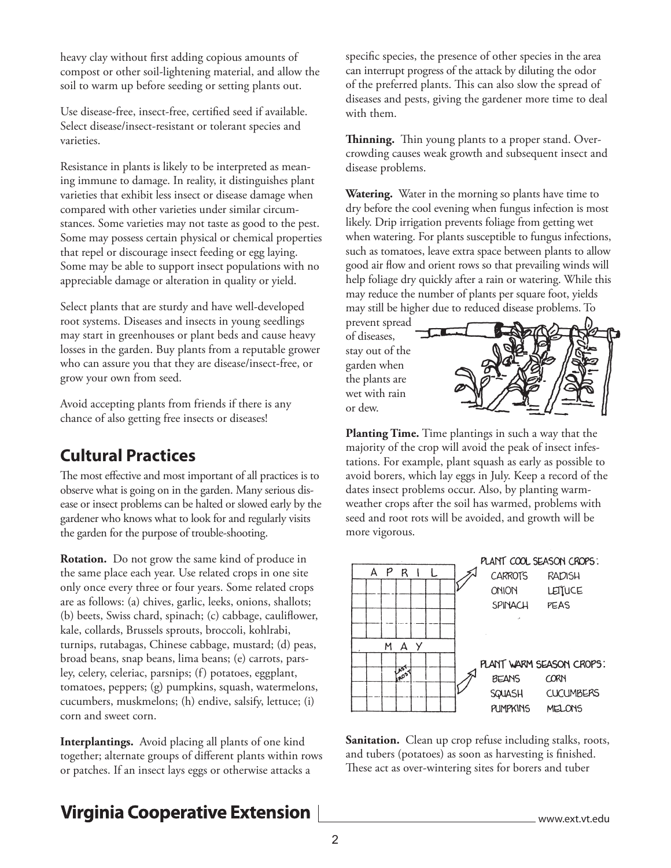heavy clay without first adding copious amounts of compost or other soil-lightening material, and allow the soil to warm up before seeding or setting plants out.

Use disease-free, insect-free, certified seed if available. Select disease/insect-resistant or tolerant species and varieties.

Resistance in plants is likely to be interpreted as meaning immune to damage. In reality, it distinguishes plant varieties that exhibit less insect or disease damage when compared with other varieties under similar circumstances. Some varieties may not taste as good to the pest. Some may possess certain physical or chemical properties that repel or discourage insect feeding or egg laying. Some may be able to support insect populations with no appreciable damage or alteration in quality or yield.

Select plants that are sturdy and have well-developed root systems. Diseases and insects in young seedlings may start in greenhouses or plant beds and cause heavy losses in the garden. Buy plants from a reputable grower who can assure you that they are disease/insect-free, or grow your own from seed.

Avoid accepting plants from friends if there is any chance of also getting free insects or diseases!

#### **Cultural Practices**

The most effective and most important of all practices is to observe what is going on in the garden. Many serious disease or insect problems can be halted or slowed early by the gardener who knows what to look for and regularly visits the garden for the purpose of trouble-shooting.

**Rotation.** Do not grow the same kind of produce in the same place each year. Use related crops in one site only once every three or four years. Some related crops are as follows: (a) chives, garlic, leeks, onions, shallots; (b) beets, Swiss chard, spinach; (c) cabbage, cauliflower, kale, collards, Brussels sprouts, broccoli, kohlrabi, turnips, rutabagas, Chinese cabbage, mustard; (d) peas, broad beans, snap beans, lima beans; (e) carrots, parsley, celery, celeriac, parsnips; (f) potatoes, eggplant, tomatoes, peppers; (g) pumpkins, squash, watermelons, cucumbers, muskmelons; (h) endive, salsify, lettuce; (i) corn and sweet corn.

**Interplantings.** Avoid placing all plants of one kind together; alternate groups of different plants within rows or patches. If an insect lays eggs or otherwise attacks a

## **Virginia Cooperative Extension**

specific species, the presence of other species in the area can interrupt progress of the attack by diluting the odor of the preferred plants. This can also slow the spread of diseases and pests, giving the gardener more time to deal with them.

**Thinning.** Thin young plants to a proper stand. Overcrowding causes weak growth and subsequent insect and disease problems.

**Watering.** Water in the morning so plants have time to dry before the cool evening when fungus infection is most likely. Drip irrigation prevents foliage from getting wet when watering. For plants susceptible to fungus infections, such as tomatoes, leave extra space between plants to allow good air flow and orient rows so that prevailing winds will help foliage dry quickly after a rain or watering. While this may reduce the number of plants per square foot, yields may still be higher due to reduced disease problems. To

prevent spread of diseases, stay out of the garden when the plants are wet with rain or dew.



**Planting Time.** Time plantings in such a way that the majority of the crop will avoid the peak of insect infestations. For example, plant squash as early as possible to avoid borers, which lay eggs in July. Keep a record of the dates insect problems occur. Also, by planting warmweather crops after the soil has warmed, problems with seed and root rots will be avoided, and growth will be more vigorous.



Sanitation. Clean up crop refuse including stalks, roots, and tubers (potatoes) as soon as harvesting is finished. These act as over-wintering sites for borers and tuber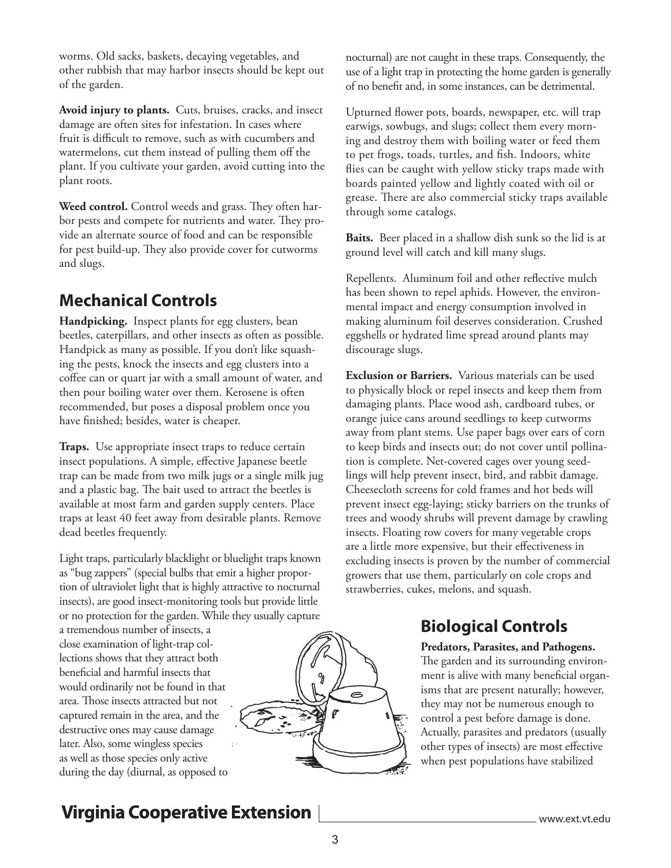worms. Old sacks, baskets, decaying vegetables, and other rubbish that may harbor insects should be kept out of the garden.

**Avoid injury to plants.** Cuts, bruises, cracks, and insect damage are often sites for infestation. In cases where fruit is difficult to remove, such as with cucumbers and watermelons, cut them instead of pulling them off the plant. If you cultivate your garden, avoid cutting into the plant roots.

**Weed control.** Control weeds and grass. They often harbor pests and compete for nutrients and water. They provide an alternate source of food and can be responsible for pest build-up. They also provide cover for cutworms and slugs.

## **Mechanical Controls**

**Handpicking.** Inspect plants for egg clusters, bean beetles, caterpillars, and other insects as often as possible. Handpick as many as possible. If you don't like squashing the pests, knock the insects and egg clusters into a coffee can or quart jar with a small amount of water, and then pour boiling water over them. Kerosene is often recommended, but poses a disposal problem once you have finished; besides, water is cheaper.

**Traps.** Use appropriate insect traps to reduce certain insect populations. A simple, effective Japanese beetle trap can be made from two milk jugs or a single milk jug and a plastic bag. The bait used to attract the beetles is available at most farm and garden supply centers. Place traps at least 40 feet away from desirable plants. Remove dead beetles frequently.

Light traps, particularly blacklight or bluelight traps known as "bug zappers" (special bulbs that emit a higher proportion of ultraviolet light that is highly attractive to nocturnal insects), are good insect-monitoring tools but provide little or no protection for the garden. While they usually capture

a tremendous number of insects, a close examination of light-trap collections shows that they attract both beneficial and harmful insects that would ordinarily not be found in that area. Those insects attracted but not captured remain in the area, and the destructive ones may cause damage later. Also, some wingless species as well as those species only active during the day (diurnal, as opposed to



nocturnal) are not caught in these traps. Consequently, the use of a light trap in protecting the home garden is generally of no benefit and, in some instances, can be detrimental.

Upturned flower pots, boards, newspaper, etc. will trap earwigs, sowbugs, and slugs; collect them every morning and destroy them with boiling water or feed them to pet frogs, toads, turtles, and fish. Indoors, white flies can be caught with yellow sticky traps made with boards painted yellow and lightly coated with oil or grease. There are also commercial sticky traps available through some catalogs.

**Baits.** Beer placed in a shallow dish sunk so the lid is at ground level will catch and kill many slugs.

Repellents. Aluminum foil and other reflective mulch has been shown to repel aphids. However, the environmental impact and energy consumption involved in making aluminum foil deserves consideration. Crushed eggshells or hydrated lime spread around plants may discourage slugs.

**Exclusion or Barriers.** Various materials can be used to physically block or repel insects and keep them from damaging plants. Place wood ash, cardboard tubes, or orange juice cans around seedlings to keep cutworms away from plant stems. Use paper bags over ears of corn to keep birds and insects out; do not cover until pollination is complete. Net-covered cages over young seedlings will help prevent insect, bird, and rabbit damage. Cheesecloth screens for cold frames and hot beds will prevent insect egg-laying; sticky barriers on the trunks of trees and woody shrubs will prevent damage by crawling insects. Floating row covers for many vegetable crops are a little more expensive, but their effectiveness in excluding insects is proven by the number of commercial growers that use them, particularly on cole crops and strawberries, cukes, melons, and squash.

## **Biological Controls**

#### **Predators, Parasites, and Pathogens.**

The garden and its surrounding environment is alive with many beneficial organisms that are present naturally; however, they may not be numerous enough to control a pest before damage is done. Actually, parasites and predators (usually other types of insects) are most effective when pest populations have stabilized

# **Virginia Cooperative Extension**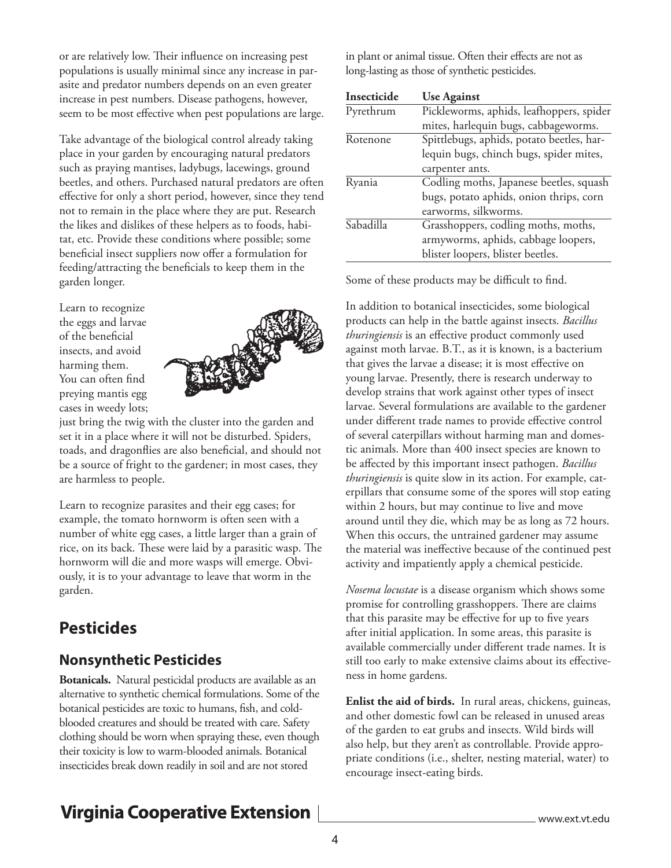or are relatively low. Their influence on increasing pest populations is usually minimal since any increase in parasite and predator numbers depends on an even greater increase in pest numbers. Disease pathogens, however, seem to be most effective when pest populations are large.

Take advantage of the biological control already taking place in your garden by encouraging natural predators such as praying mantises, ladybugs, lacewings, ground beetles, and others. Purchased natural predators are often effective for only a short period, however, since they tend not to remain in the place where they are put. Research the likes and dislikes of these helpers as to foods, habitat, etc. Provide these conditions where possible; some beneficial insect suppliers now offer a formulation for feeding/attracting the beneficials to keep them in the garden longer.

Learn to recognize the eggs and larvae of the beneficial insects, and avoid harming them. You can often find preying mantis egg cases in weedy lots;



just bring the twig with the cluster into the garden and set it in a place where it will not be disturbed. Spiders, toads, and dragonflies are also beneficial, and should not be a source of fright to the gardener; in most cases, they are harmless to people.

Learn to recognize parasites and their egg cases; for example, the tomato hornworm is often seen with a number of white egg cases, a little larger than a grain of rice, on its back. These were laid by a parasitic wasp. The hornworm will die and more wasps will emerge. Obviously, it is to your advantage to leave that worm in the garden.

#### **Pesticides**

#### **Nonsynthetic Pesticides**

**Botanicals.** Natural pesticidal products are available as an alternative to synthetic chemical formulations. Some of the botanical pesticides are toxic to humans, fish, and coldblooded creatures and should be treated with care. Safety clothing should be worn when spraying these, even though their toxicity is low to warm-blooded animals. Botanical insecticides break down readily in soil and are not stored

in plant or animal tissue. Often their effects are not as long-lasting as those of synthetic pesticides.

| Insecticide | <b>Use Against</b>                        |
|-------------|-------------------------------------------|
| Pyrethrum   | Pickleworms, aphids, leafhoppers, spider  |
|             | mites, harlequin bugs, cabbageworms.      |
| Rotenone    | Spittlebugs, aphids, potato beetles, har- |
|             | lequin bugs, chinch bugs, spider mites,   |
|             | carpenter ants.                           |
| Ryania      | Codling moths, Japanese beetles, squash   |
|             | bugs, potato aphids, onion thrips, corn   |
|             | earworms, silkworms.                      |
| Sabadilla   | Grasshoppers, codling moths, moths,       |
|             | armyworms, aphids, cabbage loopers,       |
|             | blister loopers, blister beetles.         |

Some of these products may be difficult to find.

In addition to botanical insecticides, some biological products can help in the battle against insects. *Bacillus thuringiensis* is an effective product commonly used against moth larvae. B.T., as it is known, is a bacterium that gives the larvae a disease; it is most effective on young larvae. Presently, there is research underway to develop strains that work against other types of insect larvae. Several formulations are available to the gardener under different trade names to provide effective control of several caterpillars without harming man and domestic animals. More than 400 insect species are known to be affected by this important insect pathogen. *Bacillus thuringiensis* is quite slow in its action. For example, caterpillars that consume some of the spores will stop eating within 2 hours, but may continue to live and move around until they die, which may be as long as 72 hours. When this occurs, the untrained gardener may assume the material was ineffective because of the continued pest activity and impatiently apply a chemical pesticide.

*Nosema locustae* is a disease organism which shows some promise for controlling grasshoppers. There are claims that this parasite may be effective for up to five years after initial application. In some areas, this parasite is available commercially under different trade names. It is still too early to make extensive claims about its effectiveness in home gardens.

**Enlist the aid of birds.** In rural areas, chickens, guineas, and other domestic fowl can be released in unused areas of the garden to eat grubs and insects. Wild birds will also help, but they aren't as controllable. Provide appropriate conditions (i.e., shelter, nesting material, water) to encourage insect-eating birds.

# **Virginia Cooperative Extension**